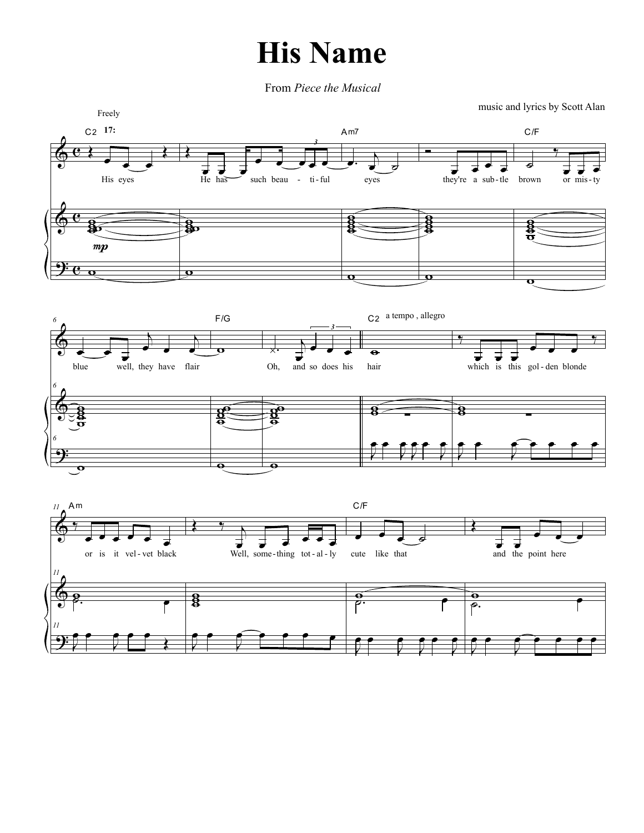## **His Name**

From Piece the Musical

music and lyrics by Scott Alan

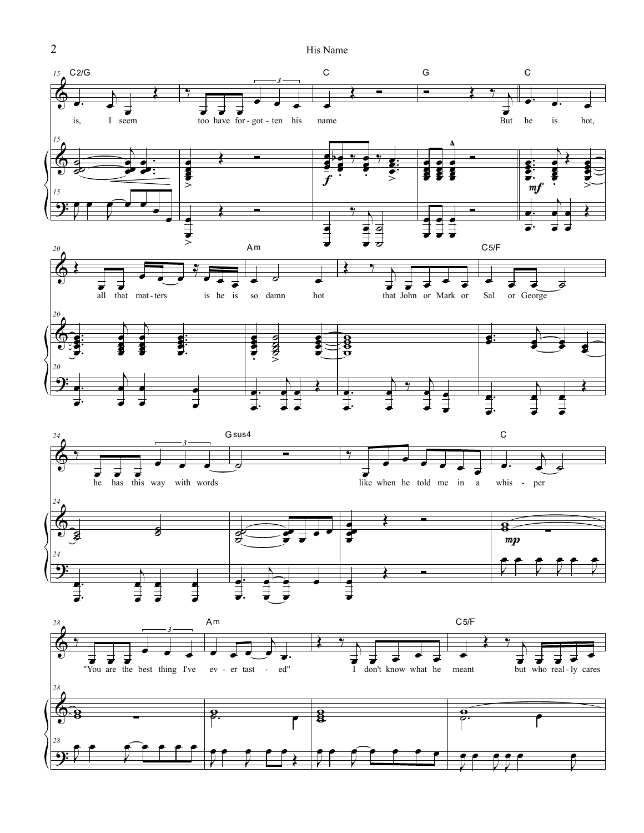His Name



 $\overline{2}$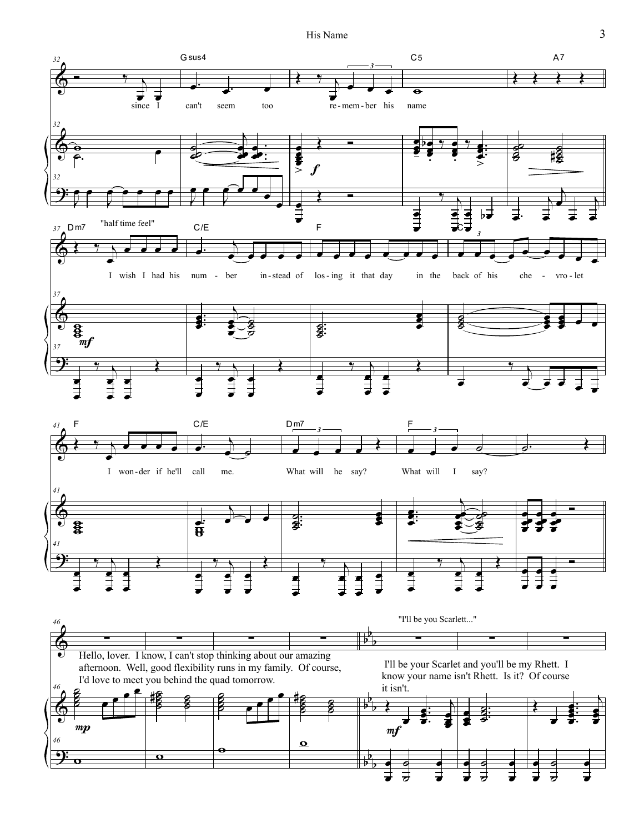His Name



 $\overline{3}$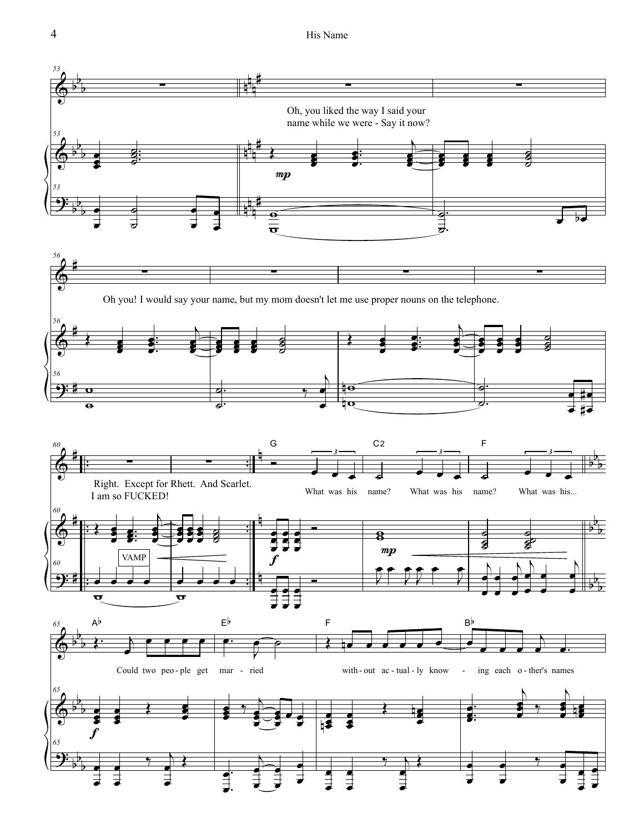